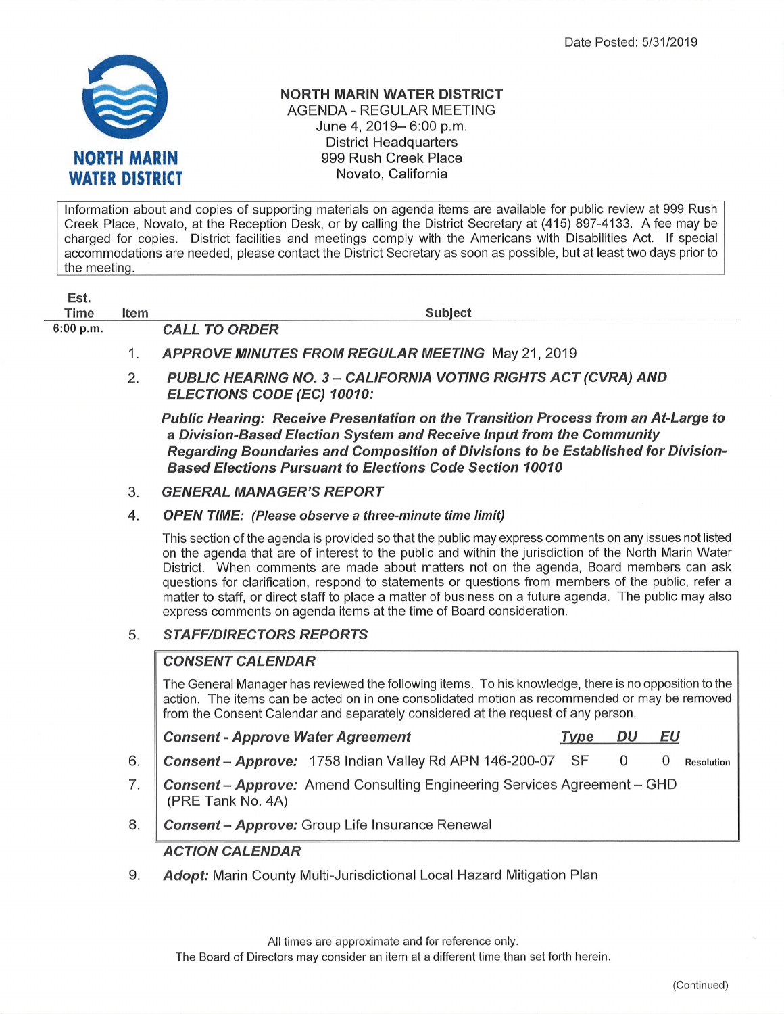

Est.

### NORTH MARIN WATER DISTRICT AGENDA - REGULAR MEETING June 4, 2019- 6:00 p.m. District Headquarters 999 Rush Creek Place Novato, Galifornia

lnformation about and copies of supporting materials on agenda items are available for public review at 999 Rush Creek Place, Novato, at the Reception Desk, or by calling the Ðistrict Secretary at (415) 897-4133. A fee may be charged for copies. District facilities and meetings comply with the Americans with Disabilities Act. lf special accommodations are needed, please contact the District Secretary as soon as possible, but at least two days prior to the meetinq.

| ESL.<br>Time | Item | <b>Subject</b>                                           |
|--------------|------|----------------------------------------------------------|
| $6:00$ p.m.  |      | <b>CALL TO ORDER</b>                                     |
|              |      | <b>APPROVE MINUTES FROM REGULAR MEETING May 21, 2019</b> |

PUBLIC HEARING NO. 3 - CALIFORNIA VOTING RIGHTS ACT (CVRA) AND ELECTIONS CODE (EC) 10010: 2.

Public Hearing: Receive Presentation on the Transition Process from an At-Large to a Division-Based Election Sysfem and Recelve lnput from the Community Regarding Boundaries and Composition of Divisions to be Established for Division-**Based Elections Pursuant to Elections Code Section 10010** 

**GENERAL MANAGER'S REPORT** 3.

#### OPEN TIME: (Please observe a three-minute time limit) 4

This section of the agenda is provided so that the public may express comments on any issues not listed on the agenda that are of interest to the public and within the jurisdiction of the North Marin Water District. When comments are made about matters not on the agenda, Board members can ask questions for clarification, respond to statements or questions from members of the public, refer a matter to staff, or direct staff to place a matter of business on a future agenda. The public may also express comments on agenda items at the time of Board consideration.

### **STAFF/DIRECTORS REPORTS** 5.

# **CONSENT CALENDAR**

The General Manager has reviewed the following items. To his knowledge, there is no opposition to the action. The items can be acted on in one consolidated motion as recommended or may be removed from the Consent Calendar and separately considered at the request of any person.

Consent - Approve Water Agreement Type DU EU

- Consent Approve: 1758 Indian Valley Rd APN 146-200-07 SF 0 0 Resolution 6.
	- **Consent Approve:** Amend Consulting Engineering Services Agreement GHD (PRE Tank No. 4A) 7.
	- Consent Approve: Group Life Insurance Renewal 8.

# ACTION CALENDAR

Adopt: Marin County Multi-Jurisdictional Local Hazard Mitigation Plan 9.

All times are approximate and for reference only.

The Board of Directors may consider an item at a different time than set forth herein